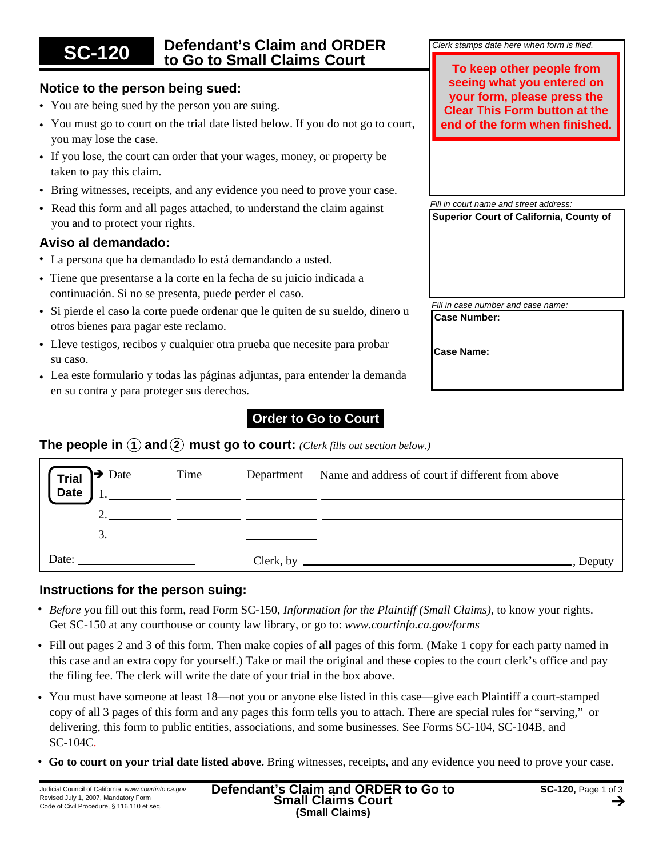## **SC-120 Defendant's Claim and ORDER to Go to Small Claims Court**

## **Notice to the person being sued:**

- You are being sued by the person you are suing.
- You must go to court on the trial date listed below. If you do not go to court, you may lose the case.
- If you lose, the court can order that your wages, money, or property be taken to pay this claim.
- Bring witnesses, receipts, and any evidence you need to prove your case.
- Read this form and all pages attached, to understand the claim against you and to protect your rights.

### **Aviso al demandado:**

- La persona que ha demandado lo está demandando a usted. •
- Tiene que presentarse a la corte en la fecha de su juicio indicada a continuación. Si no se presenta, puede perder el caso.
- Si pierde el caso la corte puede ordenar que le quiten de su sueldo, dinero u otros bienes para pagar este reclamo.
- Lleve testigos, recibos y cualquier otra prueba que necesite para probar su caso.
- Lea este formulario y todas las páginas adjuntas, para entender la demanda en su contra y para proteger sus derechos.

# **Order to Go to Court**

## **The people in**  $\Omega$  and  $\Omega$  must go to court: *(Clerk fills out section below.)*

| $\rightarrow$ Date<br><b>Trial</b><br><b>Date</b>                                                                                                                                                                              | Time | Department Name and address of court if different from above<br><u> 1989 - Jan James James James James James James James James James James James James James James James James J</u> |
|--------------------------------------------------------------------------------------------------------------------------------------------------------------------------------------------------------------------------------|------|--------------------------------------------------------------------------------------------------------------------------------------------------------------------------------------|
|                                                                                                                                                                                                                                |      |                                                                                                                                                                                      |
|                                                                                                                                                                                                                                |      |                                                                                                                                                                                      |
| Date: the contract of the contract of the contract of the contract of the contract of the contract of the contract of the contract of the contract of the contract of the contract of the contract of the contract of the cont |      | $Clerk, by \_\_\_\_\_\_\_\$<br>Deput                                                                                                                                                 |

## **Instructions for the person suing:**

- *Before* you fill out this form, read Form SC-150, *Information for the Plaintiff (Small Claims),* to know your rights. Get SC-150 at any courthouse or county law library, or go to: *www.courtinfo.ca.gov/forms*
- Fill out pages 2 and 3 of this form. Then make copies of **all** pages of this form. (Make 1 copy for each party named in this case and an extra copy for yourself.) Take or mail the original and these copies to the court clerk's office and pay the filing fee. The clerk will write the date of your trial in the box above.
- You must have someone at least 18—not you or anyone else listed in this case—give each Plaintiff a court-stamped copy of all 3 pages of this form and any pages this form tells you to attach. There are special rules for "serving," or delivering, this form to public entities, associations, and some businesses. See Forms SC-104, SC-104B, and SC-104C.
- **Go to court on your trial date listed above.** Bring witnesses, receipts, and any evidence you need to prove your case. •

**To keep other people from seeing what you entered on your form, please press the Clear This Form button at the end of the form when finished.**

*Clerk stamps date here when form is filed.*

*Fill in court name and street address:* **Superior Court of California, County of**

**Case Number:** *Fill in case number and case name:*

**Case Name:**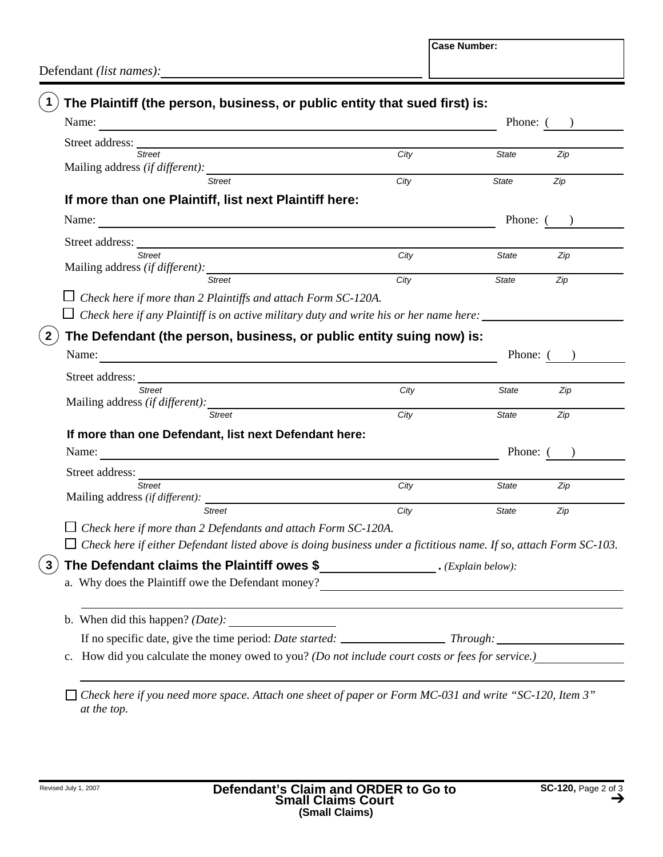**Case Number:**

Defendant *(list names):*

| Name:<br>and the control of the control of the control of the control of the control of the control of the control of the                                                                                                             |                                    | Phone: (     |                               |
|---------------------------------------------------------------------------------------------------------------------------------------------------------------------------------------------------------------------------------------|------------------------------------|--------------|-------------------------------|
| Street address:                                                                                                                                                                                                                       |                                    |              |                               |
| <b>Street</b>                                                                                                                                                                                                                         | City                               | <b>State</b> | Zip                           |
| Mailing address <i>(if different)</i> :<br><b>Street</b>                                                                                                                                                                              | City                               | <b>State</b> | Zip                           |
|                                                                                                                                                                                                                                       |                                    |              |                               |
| If more than one Plaintiff, list next Plaintiff here:                                                                                                                                                                                 |                                    |              |                               |
|                                                                                                                                                                                                                                       |                                    | Phone: (     |                               |
|                                                                                                                                                                                                                                       |                                    |              |                               |
| <b>Street</b>                                                                                                                                                                                                                         | City                               | <b>State</b> | Zip                           |
|                                                                                                                                                                                                                                       | $\frac{1}{\text{City}}$            |              |                               |
| <b>Street</b>                                                                                                                                                                                                                         |                                    | <b>State</b> | Zip                           |
| Check here if more than 2 Plaintiffs and attach Form SC-120A.                                                                                                                                                                         |                                    |              |                               |
| $\Box$ Check here if any Plaintiff is on active military duty and write his or her name here: ________                                                                                                                                |                                    |              |                               |
| The Defendant (the person, business, or public entity suing now) is:                                                                                                                                                                  |                                    |              |                               |
| Name:<br><u> 1980 - Jan Samuel Barbara, martin de la propincia de la propincia de la propincia de la propincia de la propi</u>                                                                                                        |                                    |              | Phone: $($ )                  |
|                                                                                                                                                                                                                                       |                                    |              |                               |
| <u> 1980 - Johann Barbara, martxa alemaniar a</u><br>Street address: ______<br><b>Street</b>                                                                                                                                          |                                    |              |                               |
| Mailing address <i>(if different)</i> :                                                                                                                                                                                               | City                               | <b>State</b> |                               |
| <b>Street</b>                                                                                                                                                                                                                         | City                               | <b>State</b> | Zip                           |
| If more than one Defendant, list next Defendant here:                                                                                                                                                                                 |                                    |              |                               |
| Name:                                                                                                                                                                                                                                 |                                    |              |                               |
|                                                                                                                                                                                                                                       |                                    |              |                               |
| Street address:                                                                                                                                                                                                                       |                                    |              |                               |
| <b>Street</b>                                                                                                                                                                                                                         | City                               | State        |                               |
| <b>Street</b>                                                                                                                                                                                                                         | City                               | <b>State</b> | Zip<br>Phone: (<br>Zip<br>Zip |
| $\Box$ Check here if more than 2 Defendants and attach Form SC-120A.                                                                                                                                                                  |                                    |              |                               |
| $\Box$ Check here if either Defendant listed above is doing business under a fictitious name. If so, attach Form SC-103.                                                                                                              |                                    |              |                               |
|                                                                                                                                                                                                                                       |                                    |              |                               |
| The Defendant claims the Plaintiff owes \$                                                                                                                                                                                            | $\hspace{1.5cm} Explain\ below)$ : |              |                               |
| a. Why does the Plaintiff owe the Defendant money?<br><u>Letting and the substitute of the substitute of the substitute</u> of the substitute of the substitute of the substitute of the substitute of the substitute of the substitu |                                    |              |                               |
|                                                                                                                                                                                                                                       |                                    |              |                               |
|                                                                                                                                                                                                                                       |                                    |              |                               |
| c. How did you calculate the money owed to you? (Do not include court costs or fees for service.)                                                                                                                                     |                                    |              |                               |
|                                                                                                                                                                                                                                       |                                    |              |                               |

*at the top.*